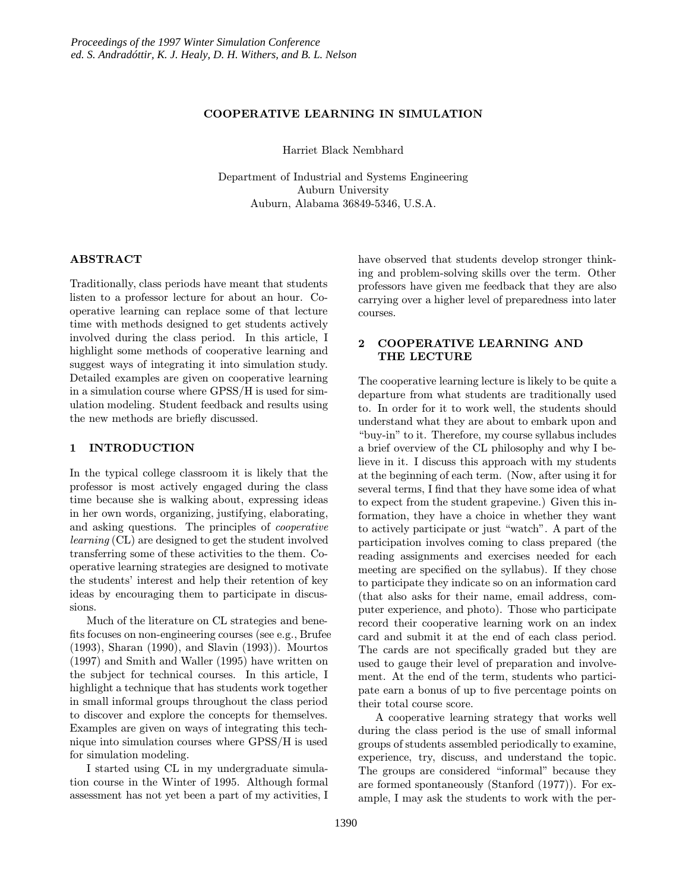### COOPERATIVE LEARNING IN SIMULATION

Harriet Black Nembhard

Department of Industrial and Systems Engineering Auburn University Auburn, Alabama 36849-5346, U.S.A.

# ABSTRACT

Traditionally, class periods have meant that students listen to a professor lecture for about an hour. Cooperative learning can replace some of that lecture time with methods designed to get students actively involved during the class period. In this article, I highlight some methods of cooperative learning and suggest ways of integrating it into simulation study. Detailed examples are given on cooperative learning in a simulation course where GPSS/H is used for simulation modeling. Student feedback and results using the new methods are briefly discussed.

#### 1 INTRODUCTION

In the typical college classroom it is likely that the professor is most actively engaged during the class time because she is walking about, expressing ideas in her own words, organizing, justifying, elaborating, and asking questions. The principles of cooperative learning (CL) are designed to get the student involved transferring some of these activities to the them. Cooperative learning strategies are designed to motivate the students' interest and help their retention of key ideas by encouraging them to participate in discussions.

Much of the literature on CL strategies and benefits focuses on non-engineering courses (see e.g., Brufee (1993), Sharan (1990), and Slavin (1993)). Mourtos (1997) and Smith and Waller (1995) have written on the subject for technical courses. In this article, I highlight a technique that has students work together in small informal groups throughout the class period to discover and explore the concepts for themselves. Examples are given on ways of integrating this technique into simulation courses where GPSS/H is used for simulation modeling.

I started using CL in my undergraduate simulation course in the Winter of 1995. Although formal assessment has not yet been a part of my activities, I have observed that students develop stronger thinking and problem-solving skills over the term. Other professors have given me feedback that they are also carrying over a higher level of preparedness into later courses.

## 2 COOPERATIVE LEARNING AND THE LECTURE

The cooperative learning lecture is likely to be quite a departure from what students are traditionally used to. In order for it to work well, the students should understand what they are about to embark upon and "buy-in" to it. Therefore, my course syllabus includes a brief overview of the CL philosophy and why I believe in it. I discuss this approach with my students at the beginning of each term. (Now, after using it for several terms, I find that they have some idea of what to expect from the student grapevine.) Given this information, they have a choice in whether they want to actively participate or just "watch". A part of the participation involves coming to class prepared (the reading assignments and exercises needed for each meeting are specified on the syllabus). If they chose to participate they indicate so on an information card (that also asks for their name, email address, computer experience, and photo). Those who participate record their cooperative learning work on an index card and submit it at the end of each class period. The cards are not specifically graded but they are used to gauge their level of preparation and involvement. At the end of the term, students who participate earn a bonus of up to five percentage points on their total course score.

A cooperative learning strategy that works well during the class period is the use of small informal groups of students assembled periodically to examine, experience, try, discuss, and understand the topic. The groups are considered "informal" because they are formed spontaneously (Stanford (1977)). For example, I may ask the students to work with the per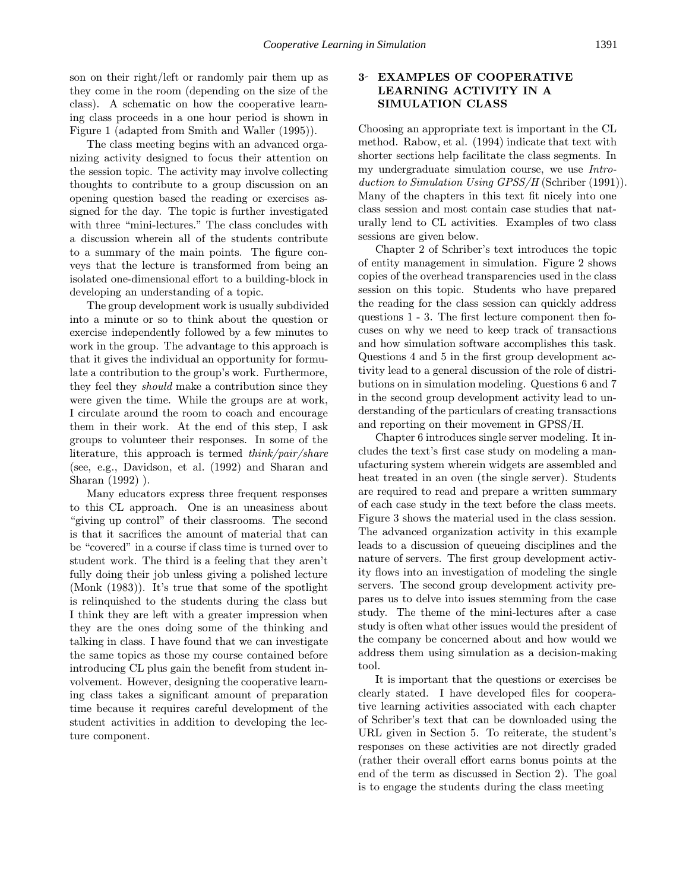son on their right/left or randomly pair them up as they come in the room (depending on the size of the class). A schematic on how the cooperative learning class proceeds in a one hour period is shown in Figure 1 (adapted from Smith and Waller (1995)).

The class meeting begins with an advanced organizing activity designed to focus their attention on the session topic. The activity may involve collecting thoughts to contribute to a group discussion on an opening question based the reading or exercises assigned for the day. The topic is further investigated with three "mini-lectures." The class concludes with a discussion wherein all of the students contribute to a summary of the main points. The figure conveys that the lecture is transformed from being an isolated one-dimensional effort to a building-block in developing an understanding of a topic.

The group development work is usually subdivided into a minute or so to think about the question or exercise independently followed by a few minutes to work in the group. The advantage to this approach is that it gives the individual an opportunity for formulate a contribution to the group's work. Furthermore, they feel they should make a contribution since they were given the time. While the groups are at work, I circulate around the room to coach and encourage them in their work. At the end of this step, I ask groups to volunteer their responses. In some of the literature, this approach is termed think/pair/share (see, e.g., Davidson, et al. (1992) and Sharan and Sharan (1992) ).

Many educators express three frequent responses to this CL approach. One is an uneasiness about "giving up control" of their classrooms. The second is that it sacrifices the amount of material that can be "covered" in a course if class time is turned over to student work. The third is a feeling that they aren't fully doing their job unless giving a polished lecture (Monk (1983)). It's true that some of the spotlight is relinquished to the students during the class but I think they are left with a greater impression when they are the ones doing some of the thinking and talking in class. I have found that we can investigate the same topics as those my course contained before introducing CL plus gain the benefit from student involvement. However, designing the cooperative learning class takes a significant amount of preparation time because it requires careful development of the student activities in addition to developing the lecture component.

# 3- EXAMPLES OF COOPERATIVE LEARNING ACTIVITY IN A SIMULATION CLASS

Choosing an appropriate text is important in the CL method. Rabow, et al. (1994) indicate that text with shorter sections help facilitate the class segments. In my undergraduate simulation course, we use Introduction to Simulation Using GPSS/H (Schriber (1991)). Many of the chapters in this text fit nicely into one class session and most contain case studies that naturally lend to CL activities. Examples of two class sessions are given below.

Chapter 2 of Schriber's text introduces the topic of entity management in simulation. Figure 2 shows copies of the overhead transparencies used in the class session on this topic. Students who have prepared the reading for the class session can quickly address questions 1 - 3. The first lecture component then focuses on why we need to keep track of transactions and how simulation software accomplishes this task. Questions 4 and 5 in the first group development activity lead to a general discussion of the role of distributions on in simulation modeling. Questions 6 and 7 in the second group development activity lead to understanding of the particulars of creating transactions and reporting on their movement in GPSS/H.

Chapter 6 introduces single server modeling. It includes the text's first case study on modeling a manufacturing system wherein widgets are assembled and heat treated in an oven (the single server). Students are required to read and prepare a written summary of each case study in the text before the class meets. Figure 3 shows the material used in the class session. The advanced organization activity in this example leads to a discussion of queueing disciplines and the nature of servers. The first group development activity flows into an investigation of modeling the single servers. The second group development activity prepares us to delve into issues stemming from the case study. The theme of the mini-lectures after a case study is often what other issues would the president of the company be concerned about and how would we address them using simulation as a decision-making tool.

It is important that the questions or exercises be clearly stated. I have developed files for cooperative learning activities associated with each chapter of Schriber's text that can be downloaded using the URL given in Section 5. To reiterate, the student's responses on these activities are not directly graded (rather their overall effort earns bonus points at the end of the term as discussed in Section 2). The goal is to engage the students during the class meeting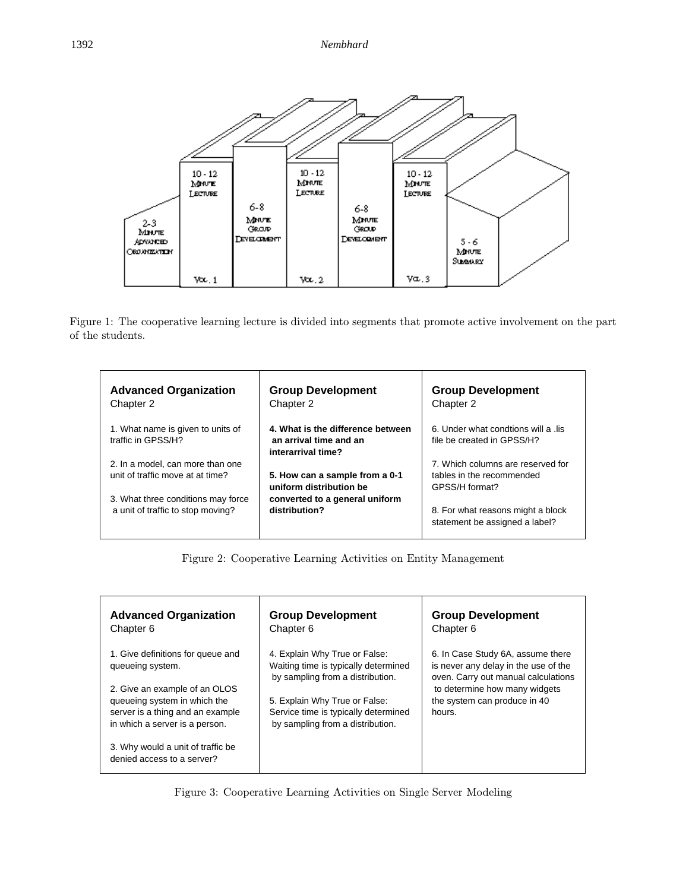

Figure 1: The cooperative learning lecture is divided into segments that promote active involvement on the part of the students.

| <b>Advanced Organization</b>                                         | <b>Group Development</b>                                                          | <b>Group Development</b>                                                         |
|----------------------------------------------------------------------|-----------------------------------------------------------------------------------|----------------------------------------------------------------------------------|
| Chapter 2                                                            | Chapter 2                                                                         | Chapter 2                                                                        |
| 1. What name is given to units of<br>traffic in GPSS/H?              | 4. What is the difference between<br>an arrival time and an<br>interarrival time? | 6. Under what condtions will a lis<br>file be created in GPSS/H?                 |
| 2. In a model, can more than one<br>unit of traffic move at at time? | 5. How can a sample from a 0-1<br>uniform distribution be                         | 7. Which columns are reserved for<br>tables in the recommended<br>GPSS/H format? |
| 3. What three conditions may force                                   | converted to a general uniform                                                    | 8. For what reasons might a block                                                |
| a unit of traffic to stop moving?                                    | distribution?                                                                     | statement be assigned a label?                                                   |

Figure 2: Cooperative Learning Activities on Entity Management

| <b>Advanced Organization</b><br>Chapter 6                          | <b>Group Development</b><br>Chapter 6                                                                     | <b>Group Development</b><br>Chapter 6                                                                            |
|--------------------------------------------------------------------|-----------------------------------------------------------------------------------------------------------|------------------------------------------------------------------------------------------------------------------|
| 1. Give definitions for queue and<br>queueing system.              | 4. Explain Why True or False:<br>Waiting time is typically determined<br>by sampling from a distribution. | 6. In Case Study 6A, assume there<br>is never any delay in the use of the<br>oven. Carry out manual calculations |
| 2. Give an example of an OLOS<br>queueing system in which the      | 5. Explain Why True or False:                                                                             | to determine how many widgets<br>the system can produce in 40                                                    |
| server is a thing and an example<br>in which a server is a person. | Service time is typically determined<br>by sampling from a distribution.                                  | hours.                                                                                                           |
| 3. Why would a unit of traffic be.<br>denied access to a server?   |                                                                                                           |                                                                                                                  |

Figure 3: Cooperative Learning Activities on Single Server Modeling